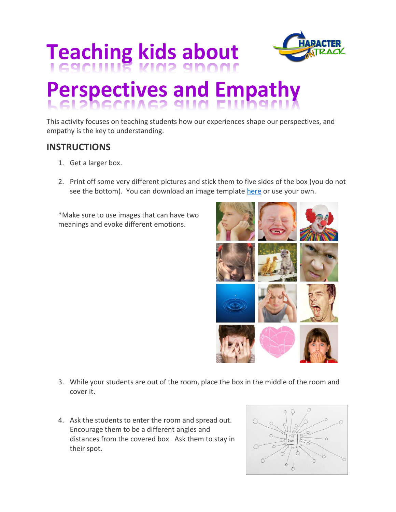

## **Teaching kids about**

## **Perspectives and Empathy**

This activity focuses on teaching students how our experiences shape our perspectives, and empathy is the key to understanding.

## **INSTRUCTIONS**

- 1. Get a larger box.
- 2. Print off some very different pictures and stick them to five sides of the box (you do not see the bottom). You can download an image templat[e here](http://characterontrack.org/wp-content/uploads/2017/08/perspectives.jpg) or use your own.

\*Make sure to use images that can have two meanings and evoke different emotions.



- 3. While your students are out of the room, place the box in the middle of the room and cover it.
- 4. Ask the students to enter the room and spread out. Encourage them to be a different angles and distances from the covered box. Ask them to stay in their spot.